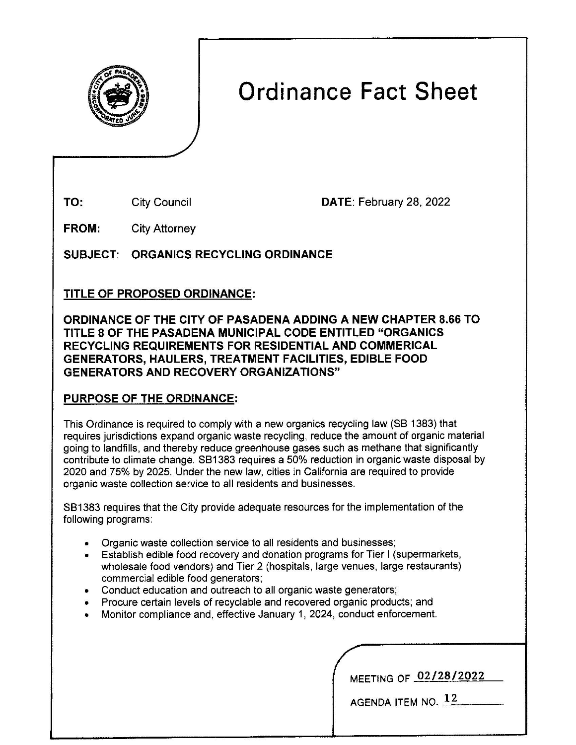

# **Ordinance Fact Sheet**

City Council

**TO:** City Council **DATE:** February 28, 2022

**FROM:**  City Attorney

**SUBJECT: ORGANICS RECYCLING ORDINANCE** 

## **TITLE OF PROPOSED ORDINANCE:**

**ORDINANCE OF THE** CITY **OF PASADENA ADDING A NEW CHAPTER 8.66 TO TITLE 8 OF THE PASADENA MUNICIPAL CODE ENTITLED "ORGANICS RECYCLING REQUIREMENTS FOR RESIDENTIAL AND COMMERICAL GENERATORS, HAULERS, TREATMENT FACILITIES, EDIBLE FOOD GENERATORS AND RECOVERY ORGANIZATIONS"** 

## **PURPOSE OF THE ORDINANCE:**

This Ordinance is required to comply with a new organics recycling law (SB 1383) that requires jurisdictions expand organic waste recycling, reduce the amount of organic material going to landfills, and thereby reduce greenhouse gases such as methane that significantly contribute to climate change. SB1383 requires a 50% reduction in organic waste disposal by 2020 and 75% by 2025. Under the new law, cities in California are required to provide organic waste collection service to all residents and businesses.

SB 1383 requires that the City provide adequate resources for the implementation of the following programs:

- Organic waste collection service to all residents and businesses;
- Establish edible food recovery and donation programs for Tier I (supermarkets, wholesale food vendors) and Tier 2 (hospitals, large venues, large restaurants) commercial edible food generators;
- Conduct education and outreach to all organic waste generators;
- Procure certain levels of recyclable and recovered organic products; and
- Monitor compliance and, effective January 1, 2024, conduct enforcement.

MEETING OF **02/28/2022** 

AGENDA ITEM NO.  $12$